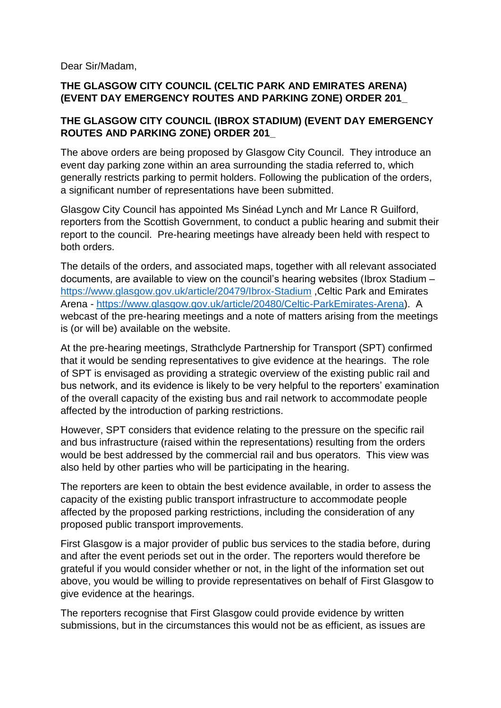Dear Sir/Madam,

## **THE GLASGOW CITY COUNCIL (CELTIC PARK AND EMIRATES ARENA) (EVENT DAY EMERGENCY ROUTES AND PARKING ZONE) ORDER 201\_**

## **THE GLASGOW CITY COUNCIL (IBROX STADIUM) (EVENT DAY EMERGENCY ROUTES AND PARKING ZONE) ORDER 201\_**

The above orders are being proposed by Glasgow City Council. They introduce an event day parking zone within an area surrounding the stadia referred to, which generally restricts parking to permit holders. Following the publication of the orders, a significant number of representations have been submitted.

Glasgow City Council has appointed Ms Sinéad Lynch and Mr Lance R Guilford, reporters from the Scottish Government, to conduct a public hearing and submit their report to the council. Pre-hearing meetings have already been held with respect to both orders.

The details of the orders, and associated maps, together with all relevant associated documents, are available to view on the council's hearing websites (Ibrox Stadium – <https://www.glasgow.gov.uk/article/20479/Ibrox-Stadium> ,Celtic Park and Emirates Arena - [https://www.glasgow.gov.uk/article/20480/Celtic-ParkEmirates-Arena\)](https://www.glasgow.gov.uk/article/20480/Celtic-ParkEmirates-Arena). A webcast of the pre-hearing meetings and a note of matters arising from the meetings is (or will be) available on the website.

At the pre-hearing meetings, Strathclyde Partnership for Transport (SPT) confirmed that it would be sending representatives to give evidence at the hearings. The role of SPT is envisaged as providing a strategic overview of the existing public rail and bus network, and its evidence is likely to be very helpful to the reporters' examination of the overall capacity of the existing bus and rail network to accommodate people affected by the introduction of parking restrictions.

However, SPT considers that evidence relating to the pressure on the specific rail and bus infrastructure (raised within the representations) resulting from the orders would be best addressed by the commercial rail and bus operators. This view was also held by other parties who will be participating in the hearing.

The reporters are keen to obtain the best evidence available, in order to assess the capacity of the existing public transport infrastructure to accommodate people affected by the proposed parking restrictions, including the consideration of any proposed public transport improvements.

First Glasgow is a major provider of public bus services to the stadia before, during and after the event periods set out in the order. The reporters would therefore be grateful if you would consider whether or not, in the light of the information set out above, you would be willing to provide representatives on behalf of First Glasgow to give evidence at the hearings.

The reporters recognise that First Glasgow could provide evidence by written submissions, but in the circumstances this would not be as efficient, as issues are